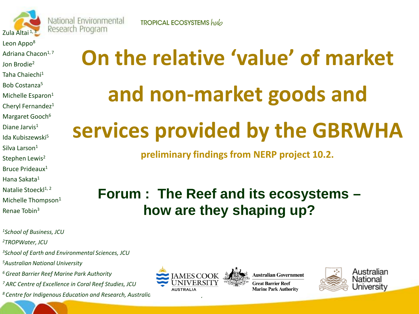

National Environmental Research Program

Leon Appo<sup>8</sup> Adriana Chacon $1, 7$ Jon Brodie2 Taha Chaiechi1 Bob Costanza5 Michelle Esparon<sup>1</sup> Cheryl Fernandez<sup>1</sup> Margaret Gooch<sup>6</sup> Diane Jarvis<sup>1</sup> Ida Kubiszewski5 Silva Larson<sup>1</sup> Stephen Lewis<sup>2</sup> Bruce Prideaux1 Hana Sakata1 Natalie Stoeckl<sup>1, 2</sup> Michelle Thompson<sup>1</sup>

*1School of Business, JCU*

*2TROPWater, JCU*

Renae Tobin3

*3School of Earth and Environmental Sciences, JCU* 

*5Australian National University*

*6 Great Barrier Reef Marine Park Authority*

*7 ARC Centre of Excellence in Coral Reef Studies, JCU*

<sup>8</sup> Centre for Indigenous Education and Research, Australic

**TROPICAL ECOSYSTEMS** hub

# **On the relative 'value' of market and non-market goods and services provided by the GBRWHA**

**preliminary findings from NERP project 10.2.**

## **Forum : The Reef and its ecosystems – how are they shaping up?**



**Australian Government Great Barrier Reef Marine Park Authority** 

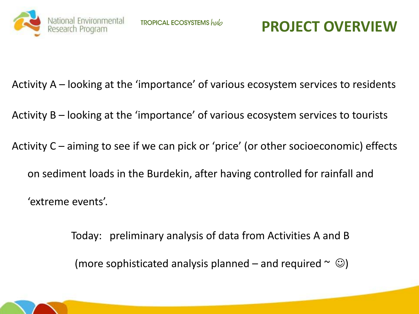

Activity A – looking at the 'importance' of various ecosystem services to residents

Activity B – looking at the 'importance' of various ecosystem services to tourists

Activity C – aiming to see if we can pick or 'price' (or other socioeconomic) effects on sediment loads in the Burdekin, after having controlled for rainfall and 'extreme events'.

> Today: preliminary analysis of data from Activities A and B (more sophisticated analysis planned – and required  $\sim \textcircled{e}$ )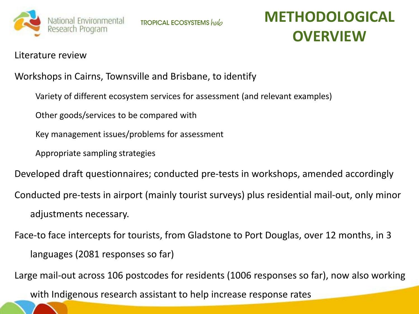

**TROPICAL ECOSYSTEMS** hub

## **METHODOLOGICAL OVERVIEW**

#### Literature review

#### Workshops in Cairns, Townsville and Brisbane, to identify

- Variety of different ecosystem services for assessment (and relevant examples)
- Other goods/services to be compared with
- Key management issues/problems for assessment
- Appropriate sampling strategies
- Developed draft questionnaires; conducted pre-tests in workshops, amended accordingly
- Conducted pre-tests in airport (mainly tourist surveys) plus residential mail-out, only minor adjustments necessary.
- Face-to face intercepts for tourists, from Gladstone to Port Douglas, over 12 months, in 3 languages (2081 responses so far)
- Large mail-out across 106 postcodes for residents (1006 responses so far), now also working
	- with Indigenous research assistant to help increase response rates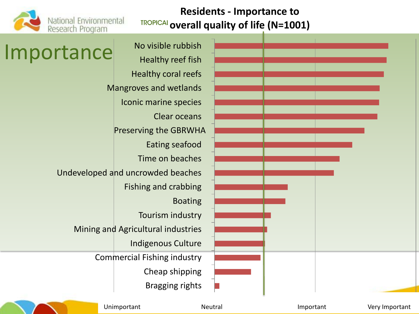

#### **Residents - Importance to overall quality of life (N=1001)**

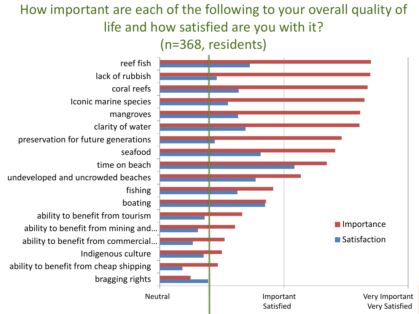## How important are each of the following to your overall quality of life and how satisfied are you with it?

(n=368, residents)

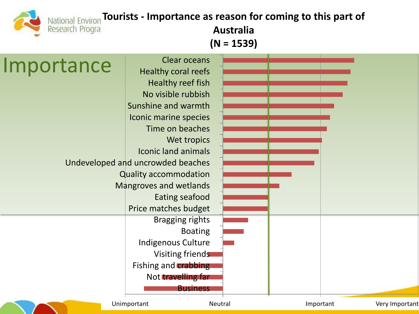## **National Environ Tourists - Importance as reason for coming to this part of**

Research Progra

**Australia (N = 1539)**

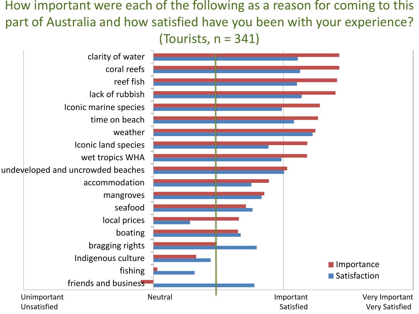How important were each of the following as a reason for coming to this part of Australia and how satisfied have you been with your experience? (Tourists,  $n = 341$ )

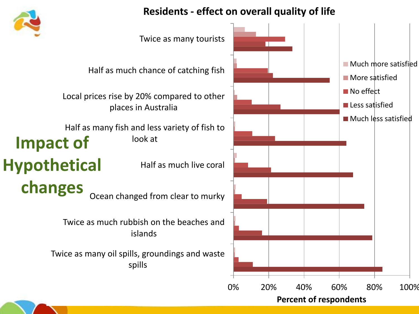

#### **Residents - effect on overall quality of life**

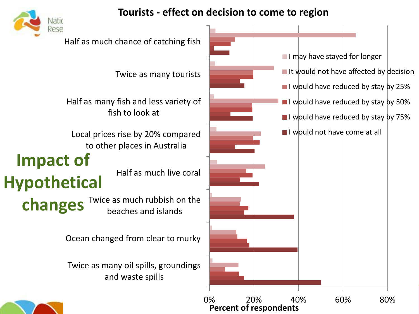

#### **Tourists - effect on decision to come to region**

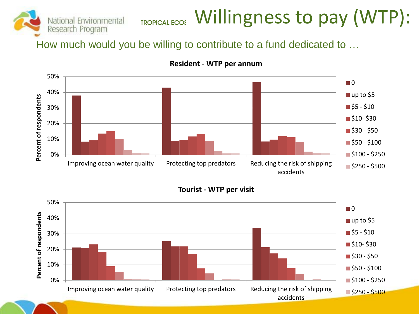

## TROPICAL ECOS Willingness to pay (WTP):

How much would you be willing to contribute to a fund dedicated to …



#### **Resident - WTP per annum**

**Tourist - WTP per visit**

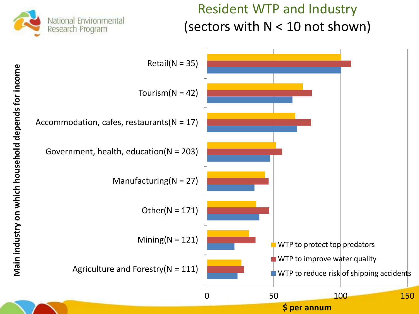

### Resident WTP and Industry (sectors with  $N < 10$  not shown)

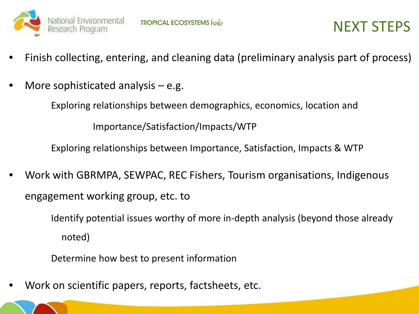

- Finish collecting, entering, and cleaning data (preliminary analysis part of process)
- More sophisticated analysis  $-$  e.g.

Exploring relationships between demographics, economics, location and

Importance/Satisfaction/Impacts/WTP

Exploring relationships between Importance, Satisfaction, Impacts & WTP

• Work with GBRMPA, SEWPAC, REC Fishers, Tourism organisations, Indigenous engagement working group, etc. to

> Identify potential issues worthy of more in-depth analysis (beyond those already noted)

Determine how best to present information

• Work on scientific papers, reports, factsheets, etc.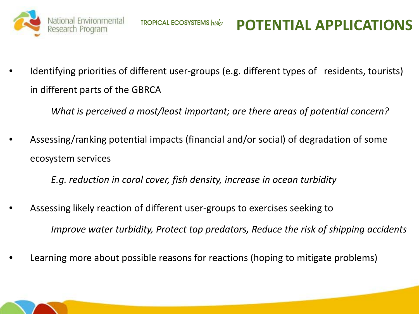

## **POTENTIAL APPLICATIONS**

Identifying priorities of different user-groups (e.g. different types of residents, tourists) in different parts of the GBRCA

*What is perceived a most/least important; are there areas of potential concern?*

• Assessing/ranking potential impacts (financial and/or social) of degradation of some ecosystem services

*E.g. reduction in coral cover, fish density, increase in ocean turbidity*

- Assessing likely reaction of different user-groups to exercises seeking to *Improve water turbidity, Protect top predators, Reduce the risk of shipping accidents*
- Learning more about possible reasons for reactions (hoping to mitigate problems)